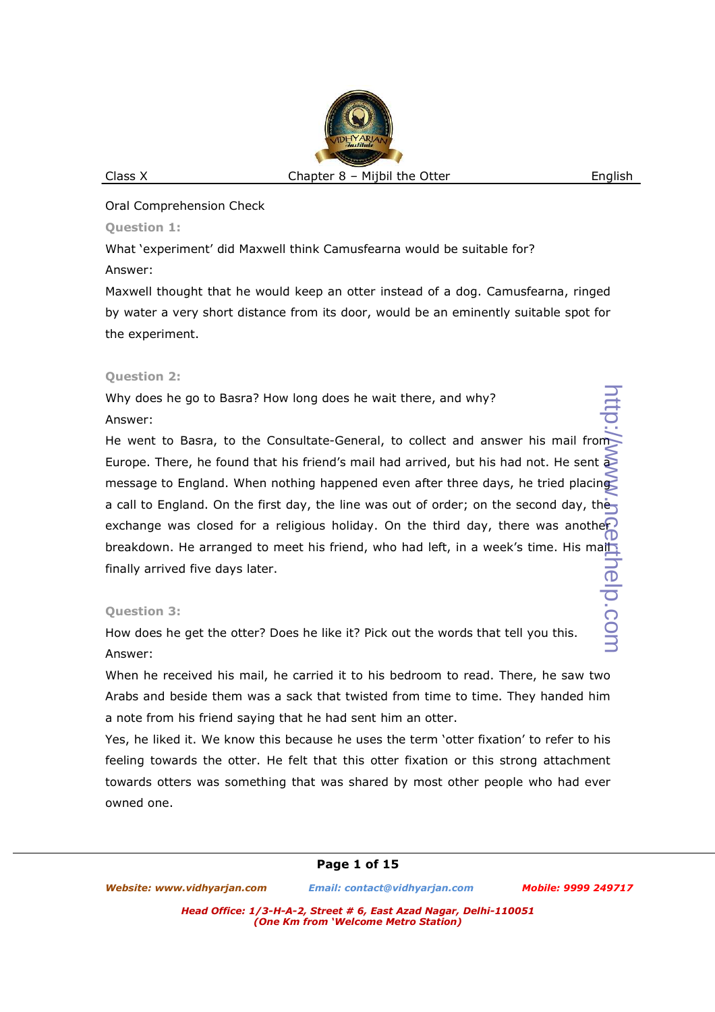Oral Comprehension Check

**Question 1:** 

What 'experiment' did Maxwell think Camusfearna would be suitable for?

Answer:

Maxwell thought that he would keep an otter instead of a dog. Camusfearna, ringed by water a very short distance from its door, would be an eminently suitable spot for the experiment.

## **Question 2:**

Why does he go to Basra? How long does he wait there, and why? Answer:

He went to Basra, to the Consultate-General, to collect and answer his mail from Europe. There, he found that his friend's mail had arrived, but his had not. He sent a message to England. When nothing happened even after three days, he tried placing a call to England. On the first day, the line was out of order; on the second day, the exchange was closed for a religious holiday. On the third day, there was another breakdown. He arranged to meet his friend, who had left, in a week's time. His maih finally arrived five days later. http://www.gegthelp.com

# **Question 3:**

How does he get the otter? Does he like it? Pick out the words that tell you this. Answer:

When he received his mail, he carried it to his bedroom to read. There, he saw two Arabs and beside them was a sack that twisted from time to time. They handed him a note from his friend saying that he had sent him an otter.

Yes, he liked it. We know this because he uses the term 'otter fixation' to refer to his feeling towards the otter. He felt that this otter fixation or this strong attachment towards otters was something that was shared by most other people who had ever owned one.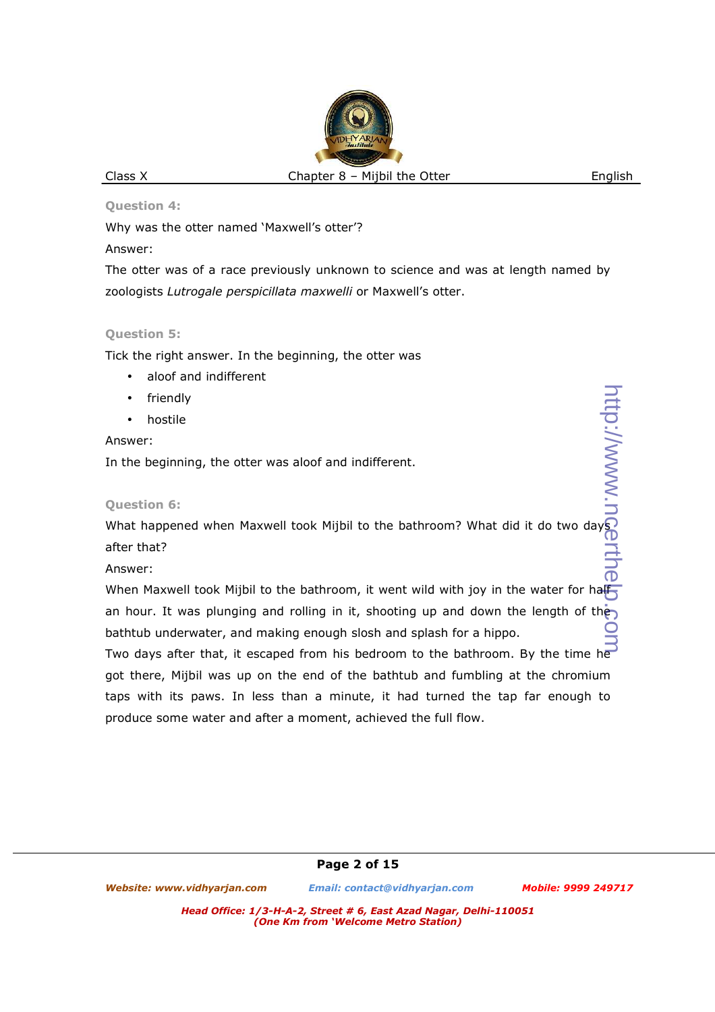**Question 4:** 

Why was the otter named 'Maxwell's otter'?

Answer:

The otter was of a race previously unknown to science and was at length named by zoologists *Lutrogale perspicillata maxwelli* or Maxwell's otter.

## **Question 5:**

Tick the right answer. In the beginning, the otter was

- aloof and indifferent
- friendly
- hostile

## Answer:

In the beginning, the otter was aloof and indifferent.

# **Question 6:**

What happened when Maxwell took Mijbil to the bathroom? What did it do two days after that?

# Answer:

When Maxwell took Mijbil to the bathroom, it went wild with joy in the water for half an hour. It was plunging and rolling in it, shooting up and down the length of the bathtub underwater, and making enough slosh and splash for a hippo.

Two days after that, it escaped from his bedroom to the bathroom. By the time he got there, Mijbil was up on the end of the bathtub and fumbling at the chromium taps with its paws. In less than a minute, it had turned the tap far enough to produce some water and after a moment, achieved the full flow.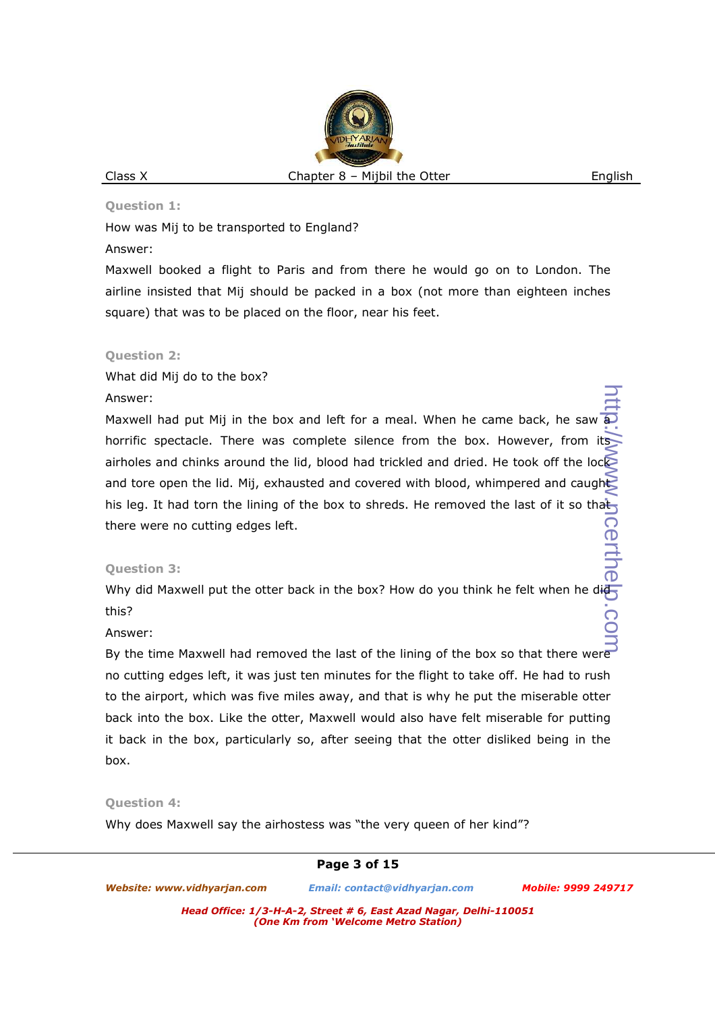#### **Question 1:**

How was Mij to be transported to England?

#### Answer:

Maxwell booked a flight to Paris and from there he would go on to London. The airline insisted that Mij should be packed in a box (not more than eighteen inches square) that was to be placed on the floor, near his feet.

## **Question 2:**

What did Mij do to the box?

## Answer:

Maxwell had put Mij in the box and left for a meal. When he came back, he saw horrific spectacle. There was complete silence from the box. However, from its airholes and chinks around the lid, blood had trickled and dried. He took off the lock and tore open the lid. Mij, exhausted and covered with blood, whimpered and caught his leg. It had torn the lining of the box to shreds. He removed the last of it so that there were no cutting edges left. http://www.ncerthelp.com

## **Question 3:**

Why did Maxwell put the otter back in the box? How do you think he felt when he did  $\pm$ this?

## Answer:

By the time Maxwell had removed the last of the lining of the box so that there were no cutting edges left, it was just ten minutes for the flight to take off. He had to rush to the airport, which was five miles away, and that is why he put the miserable otter back into the box. Like the otter, Maxwell would also have felt miserable for putting it back in the box, particularly so, after seeing that the otter disliked being in the box.

## **Question 4:**

Why does Maxwell say the airhostess was "the very queen of her kind"?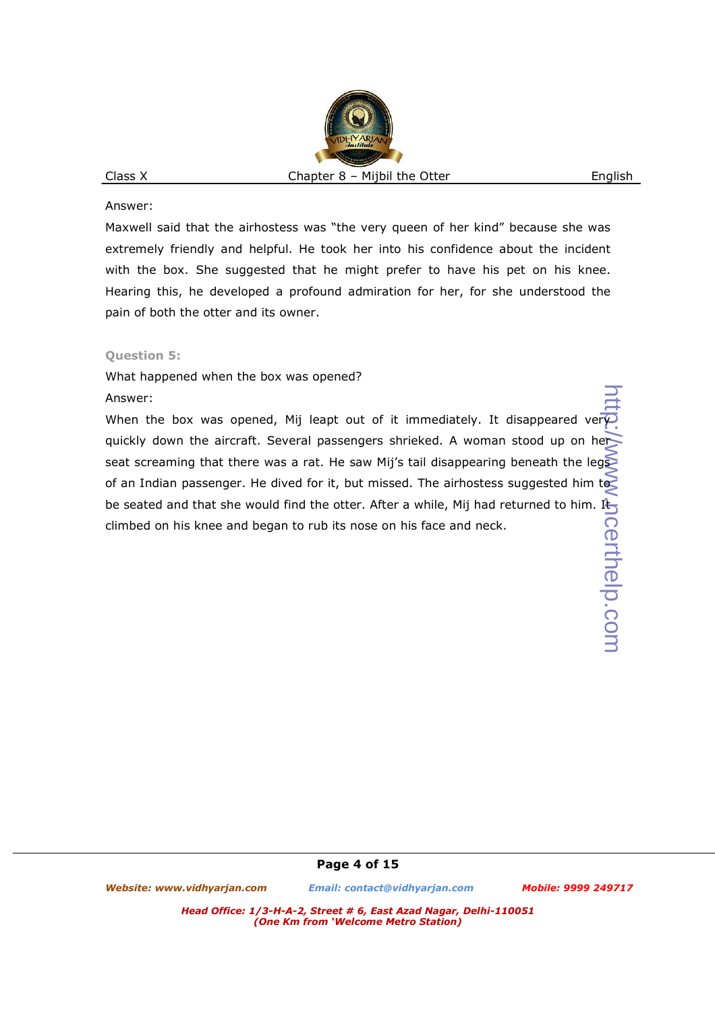Answer:

Maxwell said that the airhostess was "the very queen of her kind" because she was extremely friendly and helpful. He took her into his confidence about the incident with the box. She suggested that he might prefer to have his pet on his knee. Hearing this, he developed a profound admiration for her, for she understood the pain of both the otter and its owner.

#### **Question 5:**

What happened when the box was opened?

#### Answer:

When the box was opened, Mij leapt out of it immediately. It disappeared ver quickly down the aircraft. Several passengers shrieked. A woman stood up on her seat screaming that there was a rat. He saw Mij's tail disappearing beneath the legs of an Indian passenger. He dived for it, but missed. The airhostess suggested him to be seated and that she would find the otter. After a while, Mij had returned to him. It climbed on his knee and began to rub its nose on his face and neck.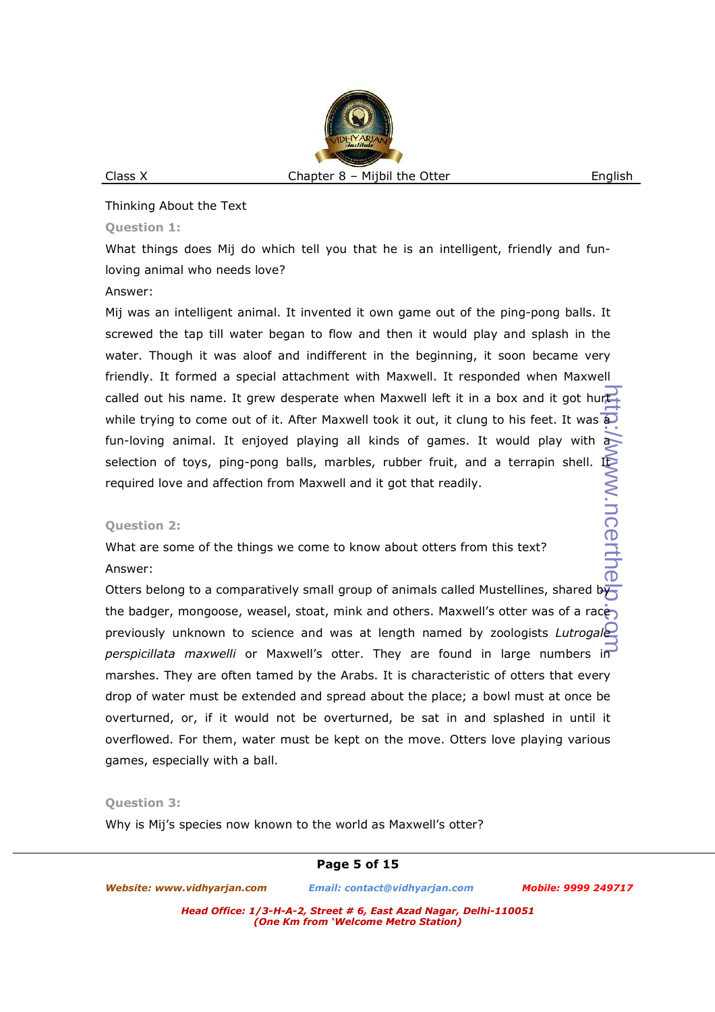Thinking About the Text

## **Question 1:**

What things does Mij do which tell you that he is an intelligent, friendly and funloving animal who needs love?

#### Answer:

Mij was an intelligent animal. It invented it own game out of the ping-pong balls. It screwed the tap till water began to flow and then it would play and splash in the water. Though it was aloof and indifferent in the beginning, it soon became very friendly. It formed a special attachment with Maxwell. It responded when Maxwell called out his name. It grew desperate when Maxwell left it in a box and it got hurt while trying to come out of it. After Maxwell took it out, it clung to his feet. It was  $\widehat{a}$ fun-loving animal. It enjoyed playing all kinds of games. It would play with a selection of toys, ping-pong balls, marbles, rubber fruit, and a terrapin shell. It<br>required love and affection from Maxwell and it got that readily.<br>Question 2:<br>What are some of the things we come to know about otters fro required love and affection from Maxwell and it got that readily. http://www.ncerthelp..gom

## **Question 2:**

What are some of the things we come to know about otters from this text?

## Answer:

Otters belong to a comparatively small group of animals called Mustellines, shared by the badger, mongoose, weasel, stoat, mink and others. Maxwell's otter was of a race previously unknown to science and was at length named by zoologists *Lutrogale perspicillata maxwelli* or Maxwell's otter. They are found in large numbers in marshes. They are often tamed by the Arabs. It is characteristic of otters that every drop of water must be extended and spread about the place; a bowl must at once be overturned, or, if it would not be overturned, be sat in and splashed in until it overflowed. For them, water must be kept on the move. Otters love playing various games, especially with a ball.

## **Question 3:**

Why is Mij's species now known to the world as Maxwell's otter?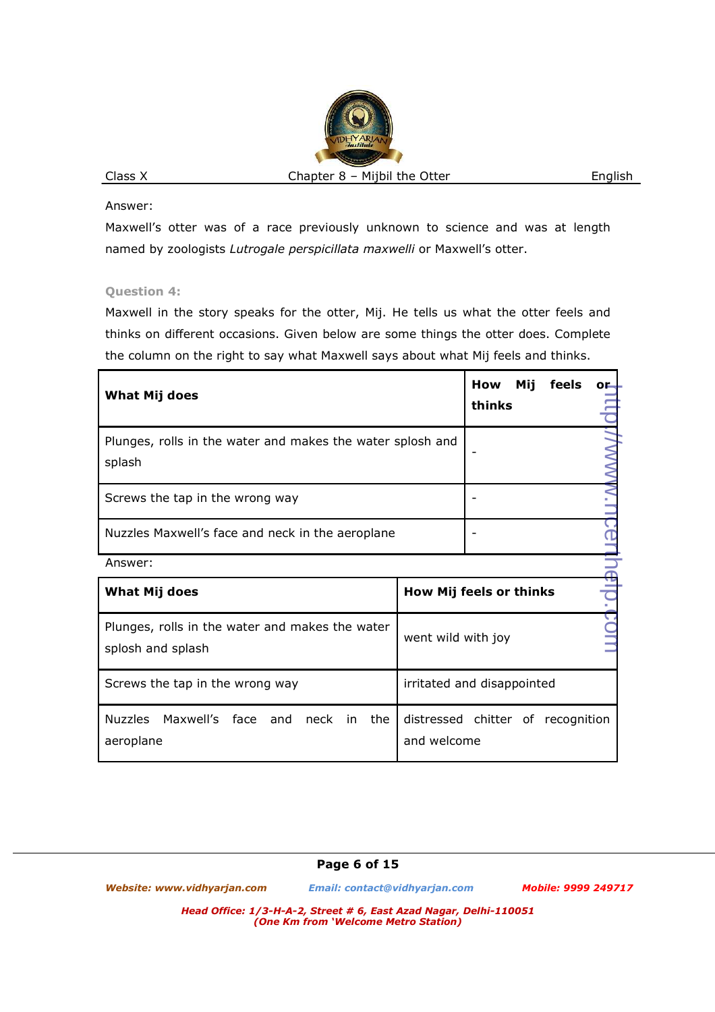Answer:

Maxwell's otter was of a race previously unknown to science and was at length named by zoologists *Lutrogale perspicillata maxwelli* or Maxwell's otter.

## **Question 4:**

Maxwell in the story speaks for the otter, Mij. He tells us what the otter feels and thinks on different occasions. Given below are some things the otter does. Complete the column on the right to say what Maxwell says about what Mij feels and thinks.

| What Mij does                                                        | Mij<br>How<br>feels<br>OF<br>thinks              |  |  |  |  |  |  |
|----------------------------------------------------------------------|--------------------------------------------------|--|--|--|--|--|--|
| Plunges, rolls in the water and makes the water splosh and<br>splash |                                                  |  |  |  |  |  |  |
| Screws the tap in the wrong way                                      |                                                  |  |  |  |  |  |  |
| Nuzzles Maxwell's face and neck in the aeroplane                     |                                                  |  |  |  |  |  |  |
| Answer:                                                              |                                                  |  |  |  |  |  |  |
| <b>What Mij does</b>                                                 | How Mij feels or thinks                          |  |  |  |  |  |  |
| Plunges, rolls in the water and makes the water<br>splosh and splash | went wild with joy                               |  |  |  |  |  |  |
| Screws the tap in the wrong way                                      | irritated and disappointed                       |  |  |  |  |  |  |
| Nuzzles Maxwell's face and neck<br>the<br>in<br>aeroplane            | distressed chitter of recognition<br>and welcome |  |  |  |  |  |  |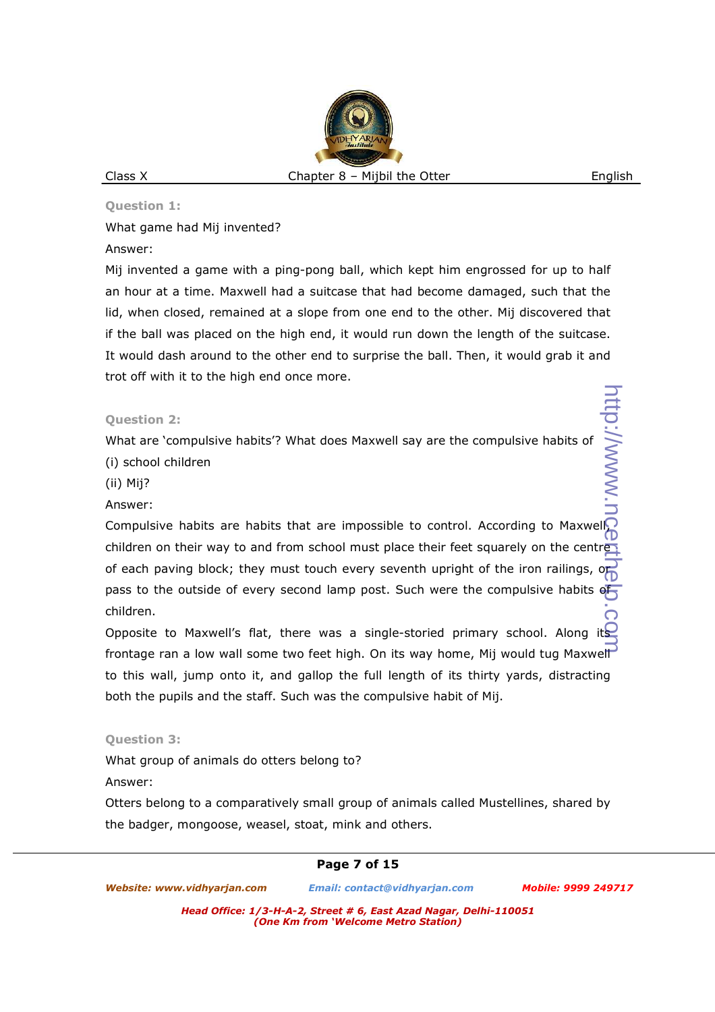#### **Question 1:**

What game had Mij invented?

Answer:

Mij invented a game with a ping-pong ball, which kept him engrossed for up to half an hour at a time. Maxwell had a suitcase that had become damaged, such that the lid, when closed, remained at a slope from one end to the other. Mij discovered that if the ball was placed on the high end, it would run down the length of the suitcase. It would dash around to the other end to surprise the ball. Then, it would grab it and trot off with it to the high end once more.

**Question 2:** 

What are 'compulsive habits'? What does Maxwell say are the compulsive habits of (i) school children

http://www.

(ii) Mij?

Answer:

Compulsive habits are habits that are impossible to control. According to Maxwell, children on their way to and from school must place their feet squarely on the centre of each paving block; they must touch every seventh upright of the iron railings, or pass to the outside of every second lamp post. Such were the compulsive habits of children. http://www.ncerthelp.com

Opposite to Maxwell's flat, there was a single-storied primary school. Along frontage ran a low wall some two feet high. On its way home, Mij would tug Maxwell to this wall, jump onto it, and gallop the full length of its thirty yards, distracting both the pupils and the staff. Such was the compulsive habit of Mij.

# **Question 3:**

What group of animals do otters belong to?

Answer:

Otters belong to a comparatively small group of animals called Mustellines, shared by the badger, mongoose, weasel, stoat, mink and others.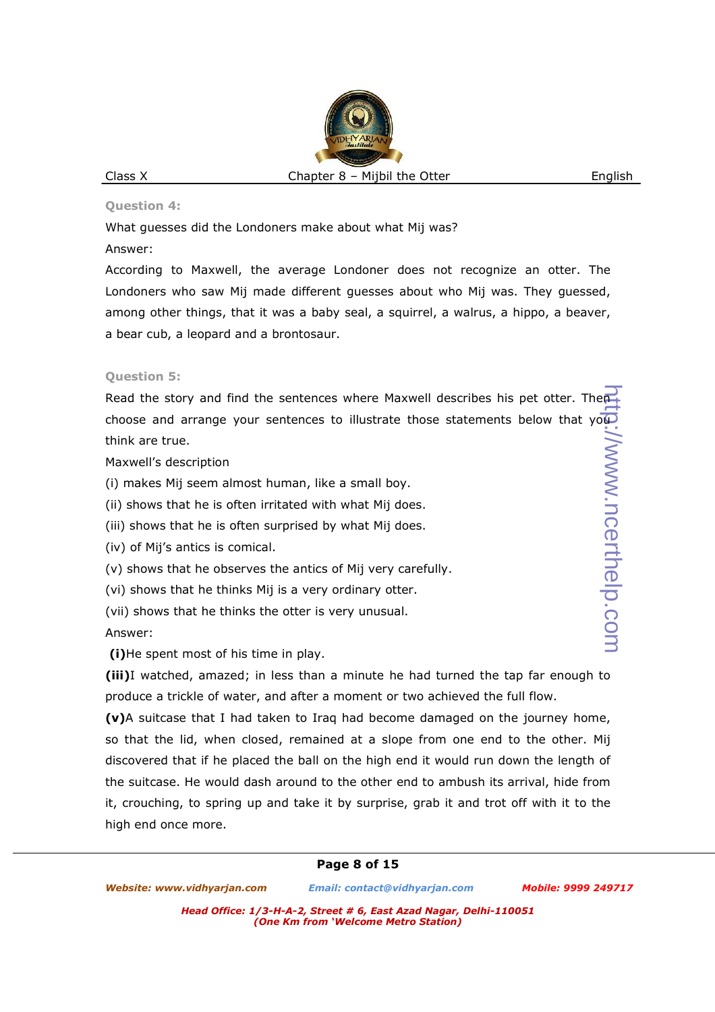#### **Question 4:**

What guesses did the Londoners make about what Mij was?

Answer:

According to Maxwell, the average Londoner does not recognize an otter. The Londoners who saw Mij made different guesses about who Mij was. They guessed, among other things, that it was a baby seal, a squirrel, a walrus, a hippo, a beaver, a bear cub, a leopard and a brontosaur.

## **Question 5:**

Read the story and find the sentences where Maxwell describes his pet otter. Then choose and arrange your sentences to illustrate those statements below that you think are true.

Maxwell's description

(i) makes Mij seem almost human, like a small boy.

(ii) shows that he is often irritated with what Mij does.

(iii) shows that he is often surprised by what Mij does.

(iv) of Mij's antics is comical.

(v) shows that he observes the antics of Mij very carefully.

(vi) shows that he thinks Mij is a very ordinary otter.

(vii) shows that he thinks the otter is very unusual.

Answer:

 **(i)**He spent most of his time in play.

**(iii)**I watched, amazed; in less than a minute he had turned the tap far enough to produce a trickle of water, and after a moment or two achieved the full flow.

**(v)**A suitcase that I had taken to Iraq had become damaged on the journey home, so that the lid, when closed, remained at a slope from one end to the other. Mij discovered that if he placed the ball on the high end it would run down the length of the suitcase. He would dash around to the other end to ambush its arrival, hide from it, crouching, to spring up and take it by surprise, grab it and trot off with it to the high end once more.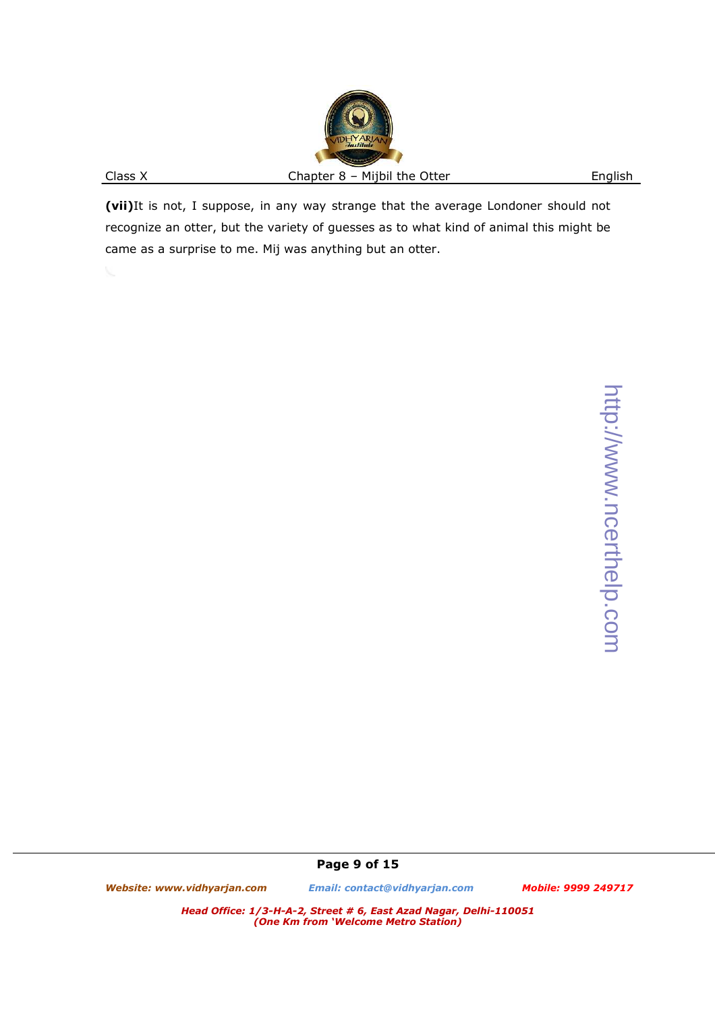**(vii)**It is not, I suppose, in any way strange that the average Londoner should not recognize an otter, but the variety of guesses as to what kind of animal this might be came as a surprise to me. Mij was anything but an otter.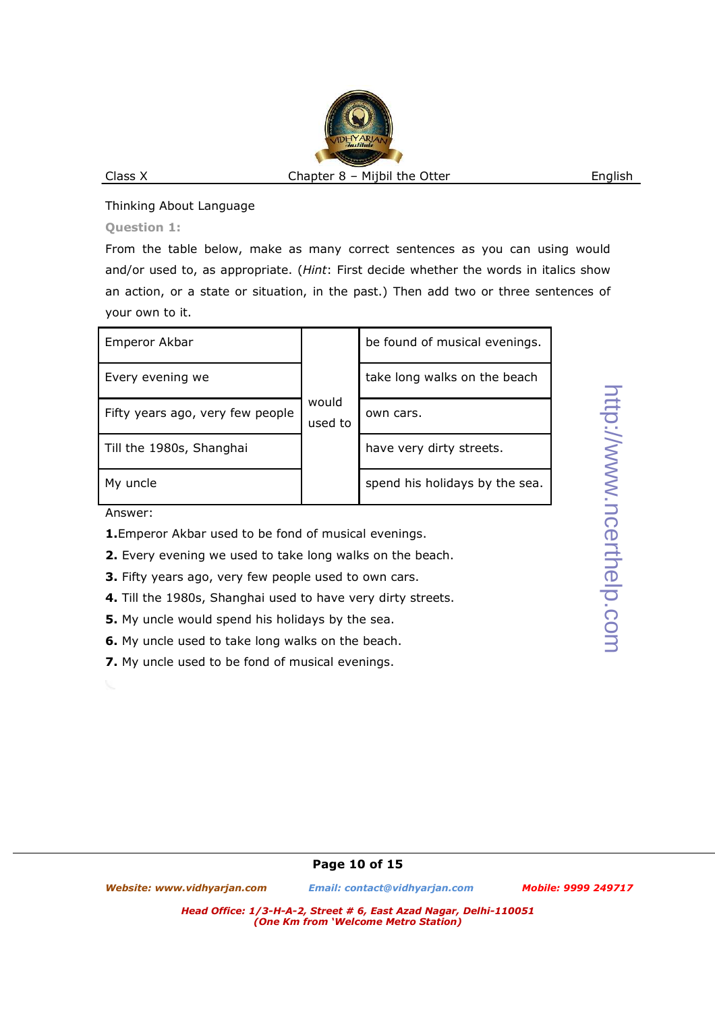Thinking About Language

**Question 1:** 

From the table below, make as many correct sentences as you can using would and/or used to, as appropriate. (*Hint*: First decide whether the words in italics show an action, or a state or situation, in the past.) Then add two or three sentences of your own to it.

| Emperor Akbar                    |                  | be found of musical evenings.  |  |  |  |
|----------------------------------|------------------|--------------------------------|--|--|--|
| Every evening we                 |                  | take long walks on the beach   |  |  |  |
| Fifty years ago, very few people | would<br>used to | own cars.                      |  |  |  |
| Till the 1980s, Shanghai         |                  | have very dirty streets.       |  |  |  |
| My uncle                         |                  | spend his holidays by the sea. |  |  |  |

Answer:

- **1.**Emperor Akbar used to be fond of musical evenings.
- **2.** Every evening we used to take long walks on the beach.
- **3.** Fifty years ago, very few people used to own cars.
- **4.** Till the 1980s, Shanghai used to have very dirty streets.
- **5.** My uncle would spend his holidays by the sea.
- **6.** My uncle used to take long walks on the beach.
- **7.** My uncle used to be fond of musical evenings.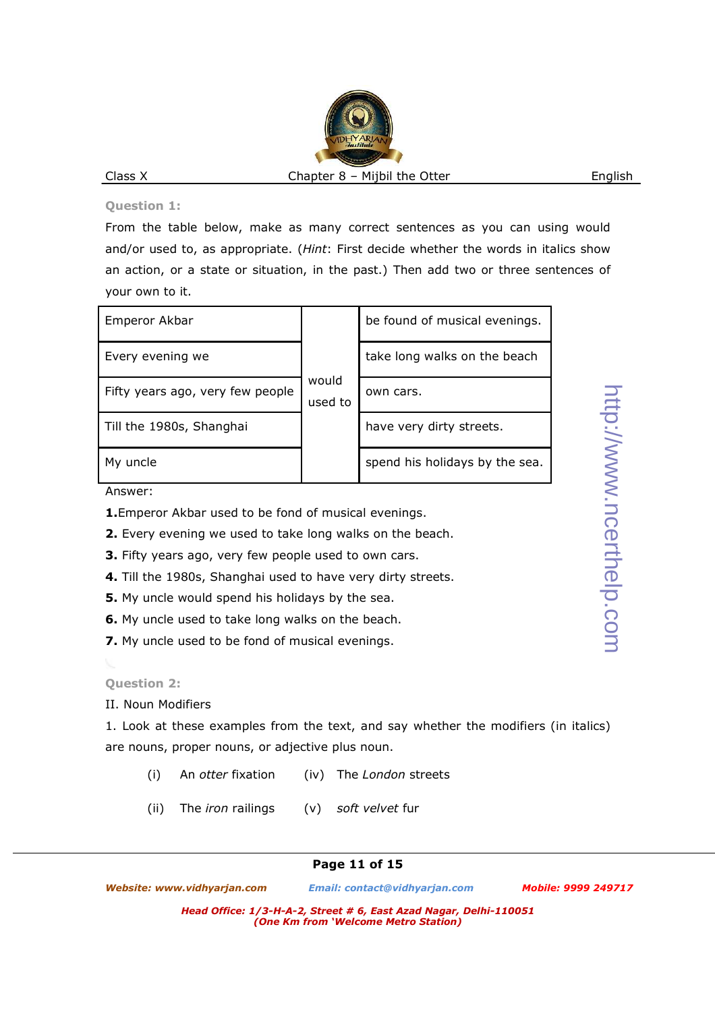#### **Question 1:**

From the table below, make as many correct sentences as you can using would and/or used to, as appropriate. (*Hint*: First decide whether the words in italics show an action, or a state or situation, in the past.) Then add two or three sentences of your own to it.

| Emperor Akbar                    |                  | be found of musical evenings.  |  |  |
|----------------------------------|------------------|--------------------------------|--|--|
| Every evening we                 |                  | take long walks on the beach   |  |  |
| Fifty years ago, very few people | would<br>used to | own cars.                      |  |  |
| Till the 1980s, Shanghai         |                  | have very dirty streets.       |  |  |
| My uncle                         |                  | spend his holidays by the sea. |  |  |

Answer:

- **1.**Emperor Akbar used to be fond of musical evenings.
- **2.** Every evening we used to take long walks on the beach.
- **3.** Fifty years ago, very few people used to own cars.
- **4.** Till the 1980s, Shanghai used to have very dirty streets.
- **5.** My uncle would spend his holidays by the sea.
- **6.** My uncle used to take long walks on the beach.
- **7.** My uncle used to be fond of musical evenings.

# **Question 2:**

II. Noun Modifiers

1. Look at these examples from the text, and say whether the modifiers (in italics) are nouns, proper nouns, or adjective plus noun.

- (i) An *otter* fixation (iv) The *London* streets
- (ii) The *iron* railings (v) *soft velvet* fur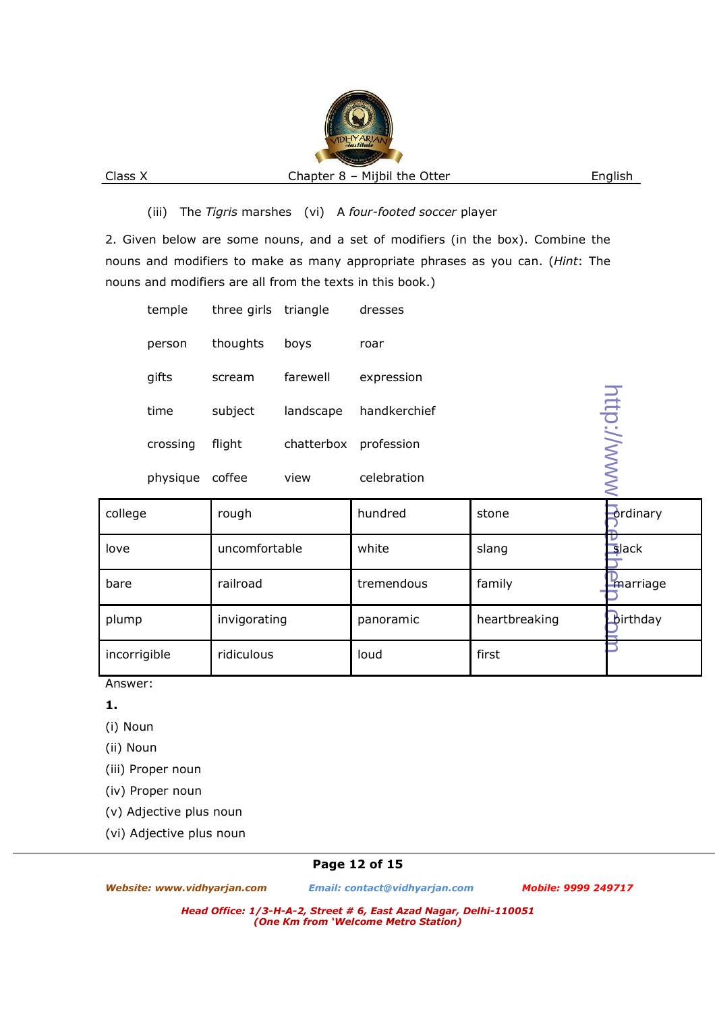## (iii) The *Tigris* marshes (vi) A *four-footed soccer* player

2. Given below are some nouns, and a set of modifiers (in the box). Combine the nouns and modifiers to make as many appropriate phrases as you can. (*Hint*: The nouns and modifiers are all from the texts in this book.)

|                       | temple                    | three girls | triangle      | dresses         |             |            |
|-----------------------|---------------------------|-------------|---------------|-----------------|-------------|------------|
|                       | person                    | thoughts    | boys          | roar            |             |            |
|                       | gifts                     | scream      | farewell      | expression      |             |            |
|                       | time                      | subject     | landscape     | handkerchief    |             |            |
|                       | crossing                  | flight      | chatterbox    | profession      |             |            |
|                       | physique                  | coffee      | view          | celebration     |             | http://www |
| college               |                           | rough       |               | hundred         | stone       | -ord       |
| love                  | uncomfortable<br>railroad |             | white         | slang           | $s$ la      |            |
| bare                  |                           |             | tremendous    | family          | <b>I'ma</b> |            |
| plump<br>invigorating |                           | panoramic   | heartbreaking | $\mathbf{b}$ ir |             |            |
| incorrigible          |                           | ridiculous  |               | loud            | first       |            |

Answer:

**1.**

(i) Noun

(ii) Noun

(iii) Proper noun

(iv) Proper noun

(v) Adjective plus noun

(vi) Adjective plus noun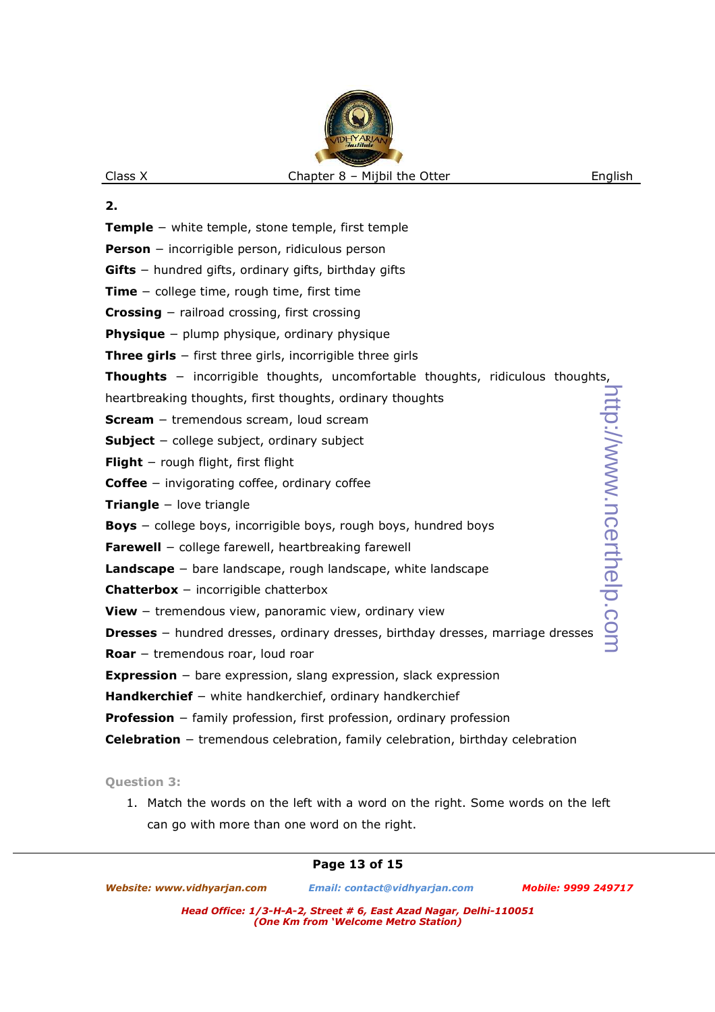- **2.**
- **Temple** − white temple, stone temple, first temple
- **Person** − incorrigible person, ridiculous person
- **Gifts** − hundred gifts, ordinary gifts, birthday gifts
- **Time** − college time, rough time, first time
- **Crossing** − railroad crossing, first crossing
- **Physique** − plump physique, ordinary physique
- **Three girls** − first three girls, incorrigible three girls
- **Thoughts** − incorrigible thoughts, uncomfortable thoughts, ridiculous thoughts,
- heartbreaking thoughts, first thoughts, ordinary thoughts
- **Scream** − tremendous scream, loud scream
- **Subject** − college subject, ordinary subject
- **Flight** − rough flight, first flight
- **Coffee** − invigorating coffee, ordinary coffee
- **Triangle** − love triangle
- **Boys** − college boys, incorrigible boys, rough boys, hundred boys
- **Farewell** − college farewell, heartbreaking farewell
- **Landscape** − bare landscape, rough landscape, white landscape
- **Chatterbox** − incorrigible chatterbox
- **View** − tremendous view, panoramic view, ordinary view
- **Dresses** − hundred dresses, ordinary dresses, birthday dresses, marriage dresses
- **Roar** − tremendous roar, loud roar
- **Expression** − bare expression, slang expression, slack expression
- **Handkerchief** − white handkerchief, ordinary handkerchief
- **Profession** − family profession, first profession, ordinary profession
- **Celebration** − tremendous celebration, family celebration, birthday celebration

#### **Question 3:**

1. Match the words on the left with a word on the right. Some words on the left can go with more than one word on the right.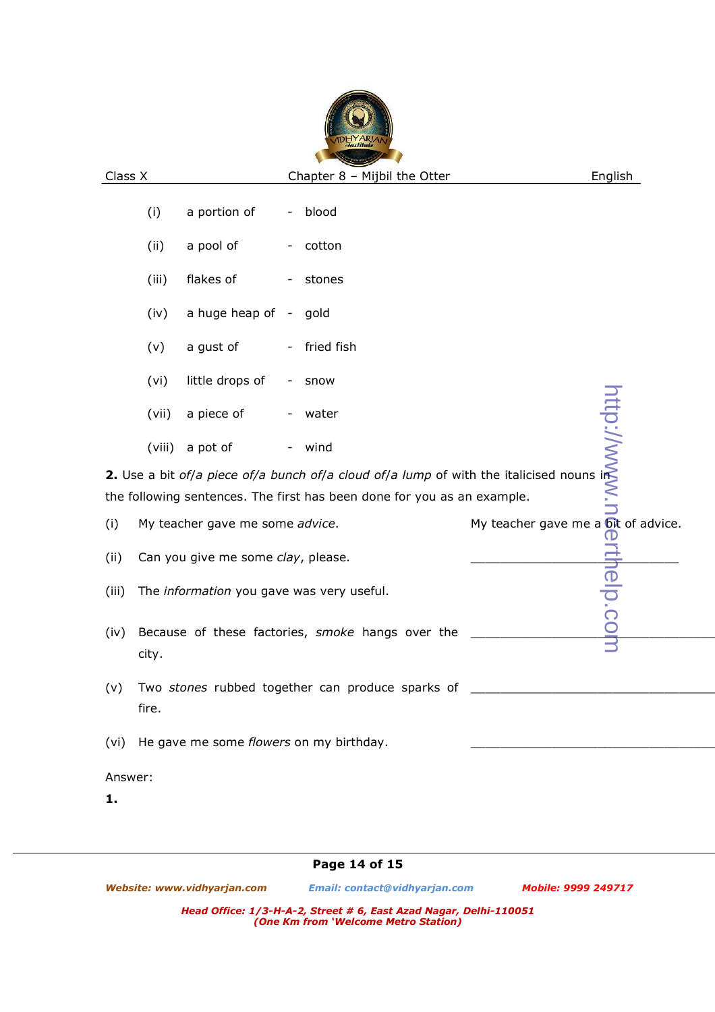|                                                                                                                                                                                                                                      | (i)                                                       | a portion of                                 | -                        | blood                                                                                                                        |  |  |
|--------------------------------------------------------------------------------------------------------------------------------------------------------------------------------------------------------------------------------------|-----------------------------------------------------------|----------------------------------------------|--------------------------|------------------------------------------------------------------------------------------------------------------------------|--|--|
|                                                                                                                                                                                                                                      | (ii)                                                      | a pool of                                    | $\overline{\phantom{a}}$ | cotton                                                                                                                       |  |  |
|                                                                                                                                                                                                                                      | (iii)                                                     | flakes of                                    | $\overline{\phantom{a}}$ | stones                                                                                                                       |  |  |
|                                                                                                                                                                                                                                      | (iv)                                                      | a huge heap of -                             |                          | gold                                                                                                                         |  |  |
|                                                                                                                                                                                                                                      | (v)                                                       | a gust of                                    | $\overline{\phantom{a}}$ | fried fish                                                                                                                   |  |  |
|                                                                                                                                                                                                                                      |                                                           |                                              |                          |                                                                                                                              |  |  |
|                                                                                                                                                                                                                                      |                                                           |                                              |                          |                                                                                                                              |  |  |
|                                                                                                                                                                                                                                      |                                                           |                                              |                          |                                                                                                                              |  |  |
|                                                                                                                                                                                                                                      |                                                           |                                              |                          |                                                                                                                              |  |  |
| (vi) little drops of - snow<br>(vii) a piece of - water<br>(viii) a pot of - wind<br>2. Use a bit of/a piece of/a bunch of/a cloud of/a lump of with the italicised nouns in<br>the following sentences. The first has been done for |                                                           |                                              |                          |                                                                                                                              |  |  |
|                                                                                                                                                                                                                                      |                                                           |                                              |                          |                                                                                                                              |  |  |
| (i)                                                                                                                                                                                                                                  | My teacher gave me some advice.                           |                                              |                          |                                                                                                                              |  |  |
| (ii)                                                                                                                                                                                                                                 | Can you give me some clay, please.                        |                                              |                          |                                                                                                                              |  |  |
| (iii)                                                                                                                                                                                                                                | The information you gave was very useful.                 |                                              |                          |                                                                                                                              |  |  |
| (iv)                                                                                                                                                                                                                                 | Because of these factories, smoke hangs over the<br>city. |                                              |                          | My teacher gave me a $\frac{\overrightarrow{opt}}{\overrightarrow{op}}$<br>$\frac{\overrightarrow{op}}{\overrightarrow{op}}$ |  |  |
| (v)                                                                                                                                                                                                                                  | fire.                                                     |                                              |                          | Two stones rubbed together can produce sparks of                                                                             |  |  |
|                                                                                                                                                                                                                                      |                                                           | (vi) He gave me some flowers on my birthday. |                          |                                                                                                                              |  |  |
|                                                                                                                                                                                                                                      |                                                           |                                              |                          |                                                                                                                              |  |  |

Answer:

**1.**